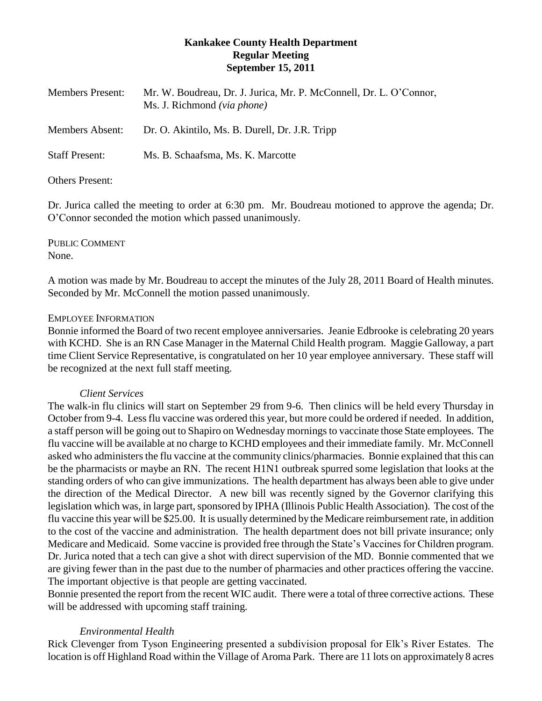# **Kankakee County Health Department Regular Meeting September 15, 2011**

| <b>Members Present:</b> | Mr. W. Boudreau, Dr. J. Jurica, Mr. P. McConnell, Dr. L. O'Connor,<br>Ms. J. Richmond (via phone) |
|-------------------------|---------------------------------------------------------------------------------------------------|
| <b>Members Absent:</b>  | Dr. O. Akintilo, Ms. B. Durell, Dr. J.R. Tripp                                                    |
| <b>Staff Present:</b>   | Ms. B. Schaafsma, Ms. K. Marcotte                                                                 |

# Others Present:

Dr. Jurica called the meeting to order at 6:30 pm. Mr. Boudreau motioned to approve the agenda; Dr. O'Connor seconded the motion which passed unanimously.

PUBLIC COMMENT None.

A motion was made by Mr. Boudreau to accept the minutes of the July 28, 2011 Board of Health minutes. Seconded by Mr. McConnell the motion passed unanimously.

### EMPLOYEE INFORMATION

Bonnie informed the Board of two recent employee anniversaries. Jeanie Edbrooke is celebrating 20 years with KCHD. She is an RN Case Manager in the Maternal Child Health program. Maggie Galloway, a part time Client Service Representative, is congratulated on her 10 year employee anniversary. These staff will be recognized at the next full staff meeting.

# *Client Services*

The walk-in flu clinics will start on September 29 from 9-6. Then clinics will be held every Thursday in October from 9-4. Less flu vaccine was ordered this year, but more could be ordered if needed. In addition, a staff person will be going out to Shapiro on Wednesday mornings to vaccinate those State employees. The flu vaccine will be available at no charge to KCHD employees and their immediate family. Mr. McConnell asked who administers the flu vaccine at the community clinics/pharmacies. Bonnie explained that this can be the pharmacists or maybe an RN. The recent H1N1 outbreak spurred some legislation that looks at the standing orders of who can give immunizations. The health department has always been able to give under the direction of the Medical Director. A new bill was recently signed by the Governor clarifying this legislation which was, in large part, sponsored by IPHA (Illinois Public Health Association). The cost of the flu vaccine this year will be \$25.00. It is usually determined by the Medicare reimbursement rate, in addition to the cost of the vaccine and administration. The health department does not bill private insurance; only Medicare and Medicaid. Some vaccine is provided free through the State's Vaccines for Children program. Dr. Jurica noted that a tech can give a shot with direct supervision of the MD. Bonnie commented that we are giving fewer than in the past due to the number of pharmacies and other practices offering the vaccine. The important objective is that people are getting vaccinated.

Bonnie presented the report from the recent WIC audit. There were a total of three corrective actions. These will be addressed with upcoming staff training.

# *Environmental Health*

Rick Clevenger from Tyson Engineering presented a subdivision proposal for Elk's River Estates. The location is off Highland Road within the Village of Aroma Park. There are 11 lots on approximately 8 acres